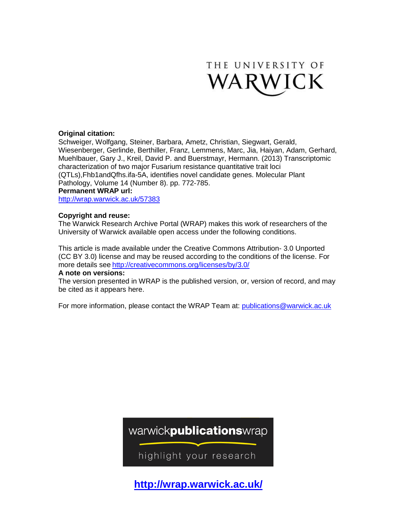

# **Original citation:**

Schweiger, Wolfgang, Steiner, Barbara, Ametz, Christian, Siegwart, Gerald, Wiesenberger, Gerlinde, Berthiller, Franz, Lemmens, Marc, Jia, Haiyan, Adam, Gerhard, Muehlbauer, Gary J., Kreil, David P. and Buerstmayr, Hermann. (2013) Transcriptomic characterization of two major Fusarium resistance quantitative trait loci (QTLs),Fhb1andQfhs.ifa-5A, identifies novel candidate genes. Molecular Plant Pathology, Volume 14 (Number 8). pp. 772-785. **Permanent WRAP url:** <http://wrap.warwick.ac.uk/57383>

# **Copyright and reuse:**

The Warwick Research Archive Portal (WRAP) makes this work of researchers of the University of Warwick available open access under the following conditions.

This article is made available under the Creative Commons Attribution- 3.0 Unported (CC BY 3.0) license and may be reused according to the conditions of the license. For more details see <http://creativecommons.org/licenses/by/3.0/>

# **A note on versions:**

The version presented in WRAP is the published version, or, version of record, and may be cited as it appears here.

For more information, please contact the WRAP Team at: [publications@warwick.ac.uk](mailto:publications@warwick.ac.uk)

warwickpublicationswrap

highlight your research

**http://wrap.warwick.ac.uk/**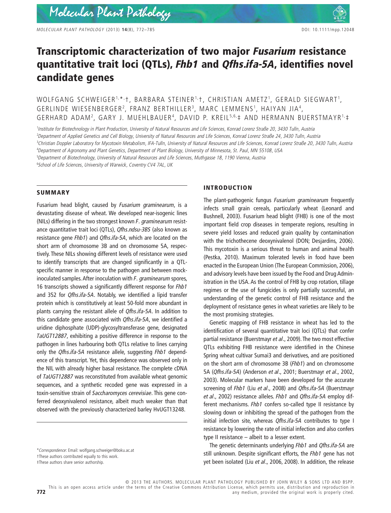*MOLECULAR PLANT PATHOLOGY* (2013) **14**(8), 772–785 DOI: 10.1111/mpp.12048

# **Transcriptomic characterization of two major** *Fusarium* **resistance quantitative trait loci (QTLs),** *Fhb1* **and** *Qfhs.ifa-5A***, identifies novel candidate genes**

WOLFGANG SCHWEIGER<sup>1,\*,</sup>†, BARBARA STEINER<sup>1,</sup>†, CHRISTIAN AMETZ<sup>1</sup>, GERALD SIEGWART<sup>1</sup>, GERLINDE WIESENBERGER<sup>2</sup>, FRANZ BERTHILLER<sup>3</sup>, MARC LEMMENS<sup>1</sup>, HAIYAN JIA<sup>4</sup>, GERHARD ADAM2 , GARY J. MUEHLBAUER4 , DAVID P. KREIL 5,6,‡ AND HERMANN BUERSTMAYR1,‡

 *Institute for Biotechnology in Plant Production, University of Natural Resources and Life Sciences, Konrad Lorenz Straße 20, 3430 Tulln, Austria Department of Applied Genetics and Cell Biology, University of Natural Resources and Life Sciences, Konrad Lorenz Straße 24, 3430 Tulln, Austria Christian Doppler Laboratory for Mycotoxin Metabolism, IFA-Tulln, University of Natural Resources and Life Sciences, Konrad Lorenz Straße 20, 3430 Tulln, Austria Department of Agronomy and Plant Genetics, Department of Plant Biology, University of Minnesota, St. Paul, MN 55108, USA Department of Biotechnology, University of Natural Resources and Life Sciences, Muthgasse 18, 1190 Vienna, Austria School of Life Sciences, University of Warwick, Coventry CV4 7AL, UK*

## **SUMMARY**

Fusarium head blight, caused by *Fusarium graminearum*, is a devastating disease of wheat. We developed near-isogenic lines (NILs) differing in the two strongest known *F. graminearum* resistance quantitative trait loci (QTLs), *Qfhs.ndsu-3BS* (also known as resistance gene *Fhb1*) and *Qfhs.ifa-5A*, which are located on the short arm of chromosome 3B and on chromosome 5A, respectively. These NILs showing different levels of resistance were used to identify transcripts that are changed significantly in a QTLspecific manner in response to the pathogen and between mockinoculated samples. After inoculation with *F. graminearum* spores, 16 transcripts showed a significantly different response for *Fhb1* and 352 for *Qfhs.ifa-5A*. Notably, we identified a lipid transfer protein which is constitutively at least 50-fold more abundant in plants carrying the resistant allele of *Qfhs.ifa-5A*. In addition to this candidate gene associated with *Qfhs.ifa-5A*, we identified a uridine diphosphate (UDP)-glycosyltransferase gene, designated *TaUGT12887*, exhibiting a positive difference in response to the pathogen in lines harbouring both QTLs relative to lines carrying only the *Qfhs.ifa-5A* resistance allele, suggesting *Fhb1* dependence of this transcript. Yet, this dependence was observed only in the NIL with already higher basal resistance. The complete cDNA of *TaUGT12887* was reconstituted from available wheat genomic sequences, and a synthetic recoded gene was expressed in a toxin-sensitive strain of *Saccharomyces cerevisiae*. This gene conferred deoxynivalenol resistance, albeit much weaker than that observed with the previously characterized barley HvUGT13248.

#### **INTRODUCTION**

The plant-pathogenic fungus *Fusarium graminearum* frequently infects small grain cereals, particularly wheat (Leonard and Bushnell, 2003). Fusarium head blight (FHB) is one of the most important field crop diseases in temperate regions, resulting in severe yield losses and reduced grain quality by contamination with the trichothecene deoxynivalenol (DON; Desiardins, 2006). This mycotoxin is a serious threat to human and animal health (Pestka, 2010). Maximum tolerated levels in food have been enacted in the European Union (The European Commission, 2006), and advisory levels have been issued by the Food and Drug Administration in the USA. As the control of FHB by crop rotation, tillage regimes or the use of fungicides is only partially successful, an understanding of the genetic control of FHB resistance and the deployment of resistance genes in wheat varieties are likely to be the most promising strategies.

Genetic mapping of FHB resistance in wheat has led to the identification of several quantitative trait loci (QTLs) that confer partial resistance (Buerstmayr *et al*., 2009). The two most effective QTLs exhibiting FHB resistance were identified in the Chinese Spring wheat cultivar Sumai3 and derivatives, and are positioned on the short arm of chromosome 3B (*Fhb1*) and on chromosome 5A (*Qfhs.ifa-5A*) (Anderson *et al*., 2001; Buerstmayr *et al*., 2002, 2003). Molecular markers have been developed for the accurate screening of *Fhb1* (Liu *et al*., 2008) and *Qfhs.ifa-5A* (Buerstmayr *et al*., 2002) resistance alleles. *Fhb1* and *Qfhs.ifa-5A* employ different mechanisms. *Fhb1* confers so-called type II resistance by slowing down or inhibiting the spread of the pathogen from the initial infection site, whereas *Qfhs.ifa-5A* contributes to type I resistance by lowering the rate of initial infection and also confers type II resistance – albeit to a lesser extent.

The genetic determinants underlying *Fhb1* and *Qfhs.ifa-5A* are still unknown. Despite significant efforts, the *Fhb1* gene has not yet been isolated (Liu *et al*., 2006, 2008). In addition, the release

This is an open access article under the terms of the [Creative Commons Attribution](http://creativecommons.org/licenses/by/3.0/) License, which permits use, distribution and reproduction in **772 any medium, provided the original work is properly cited.** 

<sup>\*</sup>*Correspondence*: Email: [wolfgang.schweiger@boku.ac.at](mailto:wolfgang.schweiger@boku.ac.at)

<sup>†</sup>These authors contributed equally to this work.

<sup>‡</sup>These authors share senior authorship.

<sup>© 2013</sup> THE AUTHORS. MOLECULAR PLANT PATHOLOGY PUBLISHED BY JOHN WILEY & SONS LTD AND BSPP.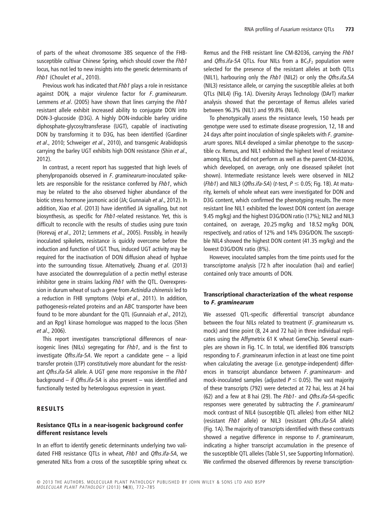of parts of the wheat chromosome 3BS sequence of the FHBsusceptible cultivar Chinese Spring, which should cover the *Fhb1* locus, has not led to new insights into the genetic determinants of *Fhb1* (Choulet *et al*., 2010).

Previous work has indicated that *Fhb1* plays a role in resistance against DON, a major virulence factor for *F. graminearum*. Lemmens *et al*. (2005) have shown that lines carrying the *Fhb1* resistant allele exhibit increased ability to conjugate DON into DON-3-glucoside (D3G). A highly DON-inducible barley uridine diphosphate-glycosyltransferase (UGT), capable of inactivating DON by transforming it to D3G, has been identified (Gardiner *et al*., 2010; Schweiger *et al*., 2010), and transgenic Arabidopsis carrying the barley UGT exhibits high DON resistance (Shin *et al*., 2012).

In contrast, a recent report has suggested that high levels of phenylpropanoids observed in *F. graminearum*-inoculated spikelets are responsible for the resistance conferred by *Fhb1*, which may be related to the also observed higher abundance of the biotic stress hormone jasmonic acid (JA; Gunnaiah *et al*., 2012). In addition, Xiao *et al*. (2013) have identified JA signalling, but not biosynthesis, as specific for *Fhb1*-related resistance. Yet, this is difficult to reconcile with the results of studies using pure toxin (Horevaj *et al*., 2012; Lemmens *et al*., 2005). Possibly, in heavily inoculated spikelets, resistance is quickly overcome before the induction and function of UGT. Thus, induced UGT activity may be required for the inactivation of DON diffusion ahead of hyphae into the surrounding tissue. Alternatively, Zhuang *et al*. (2013) have associated the downregulation of a pectin methyl esterase inhibitor gene in strains lacking *Fhb1* with the QTL. Overexpression in durum wheat of such a gene from *Actinidia chinensis* led to a reduction in FHB symptoms (Volpi *et al*., 2011). In addition, pathogenesis-related proteins and an ABC transporter have been found to be more abundant for the QTL (Gunnaiah *et al*., 2012), and an Rpg1 kinase homologue was mapped to the locus (Shen *et al*., 2006).

This report investigates transcriptional differences of nearisogenic lines (NILs) segregating for *Fhb1*, and is the first to investigate *Qfhs.ifa-5A*. We report a candidate gene – a lipid transfer protein (LTP) constitutively more abundant for the resistant *Qfhs.ifa-5A* allele. A UGT gene more responsive in the *Fhb1* background – if *Qfhs.ifa-5A* is also present – was identified and functionally tested by heterologous expression in yeast.

## **RESULTS**

# **Resistance QTLs in a near-isogenic background confer different resistance levels**

In an effort to identify genetic determinants underlying two validated FHB resistance QTLs in wheat, *Fhb1* and *Qfhs.ifa-5A*, we generated NILs from a cross of the susceptible spring wheat cv. Remus and the FHB resistant line CM-82036, carrying the *Fhb1* and *Qfhs.ifa-5A* QTLs. Four NILs from a BC<sub>5</sub>F<sub>2</sub> population were selected for the presence of the resistant alleles at both QTLs (NIL1), harbouring only the *Fhb1* (NIL2) or only the *Qfhs.ifa.5A* (NIL3) resistance allele, or carrying the susceptible alleles at both QTLs (NIL4) (Fig. 1A). Diversity Arrays Technology (DArT) marker analysis showed that the percentage of Remus alleles varied between 96.3% (NIL1) and 99.8% (NIL4).

To phenotypically assess the resistance levels, 150 heads per genotype were used to estimate disease progression, 12, 18 and 24 days after point inoculation of single spikelets with *F. graminearum* spores. NIL4 developed a similar phenotype to the susceptible cv. Remus, and NIL1 exhibited the highest level of resistance among NILs, but did not perform as well as the parent CM-82036, which developed, on average, only one diseased spikelet (not shown). Intermediate resistance levels were observed in NIL2 (*Fhb1*) and NIL3 (*Qfhs.ifa-5A*) (*t*-test, *P* ≤ 0.05; Fig. 1B). At maturity, kernels of whole wheat ears were investigated for DON and D3G content, which confirmed the phenotyping results. The more resistant line NIL1 exhibited the lowest DON content (on average 9.45 mg/kg) and the highest D3G/DON ratio (17%); NIL2 and NIL3 contained, on average, 20.25 mg/kg and 18.52 mg/kg DON, respectively, and ratios of 12% and 14% D3G/DON. The susceptible NIL4 showed the highest DON content (41.35 mg/kg) and the lowest D3G/DON ratio (8%).

However, inoculated samples from the time points used for the transcriptome analysis [72 h after inoculation (hai) and earlier] contained only trace amounts of DON.

# **Transcriptional characterization of the wheat response to** *F. graminearum*

We assessed QTL-specific differential transcript abundance between the four NILs related to treatment (*F. graminearum* vs. mock) and time point (8, 24 and 72 hai) in three individual replicates using the Affymetrix 61 K wheat GeneChip. Several examples are shown in Fig. 1C. In total, we identified 806 transcripts responding to *F. graminearum* infection in at least one time point when calculating the average (i.e. genotype-independent) differences in transcript abundance between *F. graminearum*- and mock-inoculated samples (adjusted  $P \leq 0.05$ ). The vast majority of these transcripts (792) were detected at 72 hai, less at 24 hai (62) and a few at 8 hai (29). The *Fhb1*- and *Qfhs.ifa-5A*-specific responses were generated by subtracting the *F. graminearum*/ mock contrast of NIL4 (susceptible QTL alleles) from either NIL2 (resistant *Fhb1* allele) or NIL3 (resistant *Qfhs.ifa-5A* allele) (Fig. 1A).The majority of transcripts identified with these contrasts showed a negative difference in response to *F. graminearum*, indicating a higher transcript accumulation in the presence of the susceptible QTL alleles (Table S1, see Supporting Information). We confirmed the observed differences by reverse transcription-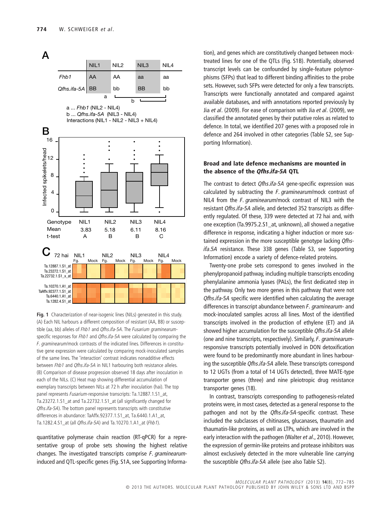

**Fig. 1** Characterization of near-isogenic lines (NILs) generated in this study. (A) Each NIL harbours a different composition of resistant (AA, BB) or susceptible (aa, bb) alleles of *Fhb1* and *Qfhs.ifa-5A*. The *Fusarium graminearum*specific responses for *Fhb1* and *Qfhs.ifa-5A* were calculated by comparing the *F. graminearum*/mock contrasts of the indicated lines. Differences in constitutive gene expression were calculated by comparing mock-inoculated samples of the same lines. The 'interaction' contrast indicates nonadditive effects between *Fhb1* and *Qfhs.ifa-5A* in NIL1 harbouring both resistance alleles. (B) Comparison of disease progression observed 18 days after inoculation in each of the NILs. (C) Heat map showing differential accumulation of exemplary transcripts between NILs at 72 h after inoculation (hai). The top panel represents *Fusarium*-responsive transcripts: Ta.12887.1.S1\_at, Ta.23272.1.S1\_at and Ta.22732.1.S1\_at (all significantly changed for *Qfhs.ifa-5A*). The bottom panel represents transcripts with constitutive differences in abundance: TaAffx.92377.1.S1\_at, Ta.6440.1.A1\_at, Ta.1282.4.S1\_at (all *Qfhs.ifa-5A*) and Ta.10270.1.A1\_at (*Fhb1*).

quantitative polymerase chain reaction (RT-qPCR) for a representative group of probe sets showing the highest relative changes. The investigated transcripts comprise *F. graminearum*induced and QTL-specific genes (Fig. S1A, see Supporting Information), and genes which are constitutively changed between mocktreated lines for one of the QTLs (Fig. S1B). Potentially, observed transcript levels can be confounded by single-feature polymorphisms (SFPs) that lead to different binding affinities to the probe sets. However, such SFPs were detected for only a few transcripts. Transcripts were functionally annotated and compared against available databases, and with annotations reported previously by Jia *et al*. (2009). For ease of comparison with Jia *et al*. (2009), we classified the annotated genes by their putative roles as related to defence. In total, we identified 207 genes with a proposed role in defence and 264 involved in other categories (Table S2, see Supporting Information).

# **Broad and late defence mechanisms are mounted in the absence of the** *Qfhs.ifa-5A* **QTL**

The contrast to detect *Qfhs.ifa-5A* gene-specific expression was calculated by subtracting the *F. graminearum*/mock contrast of NIL4 from the *F. graminearum*/mock contrast of NIL3 with the resistant *Qfhs.ifa-5A* allele, and detected 352 transcripts as differently regulated. Of these, 339 were detected at 72 hai and, with one exception (Ta.9975.2.S1\_at, unknown), all showed a negative difference in response, indicating a higher induction or more sustained expression in the more susceptible genotype lacking *Qfhsifa.5A* resistance. These 338 genes (Table S3, see Supporting Information) encode a variety of defence-related proteins.

Twenty-one probe sets correspond to genes involved in the phenylpropanoid pathway, including multiple transcripts encoding phenylalanine ammonia lyases (PALs), the first dedicated step in the pathway. Only two more genes in this pathway that were not *Qfhs.ifa-5A* specific were identified when calculating the average differences in transcript abundance between *F. graminearum*- and mock-inoculated samples across all lines. Most of the identified transcripts involved in the production of ethylene (ET) and JA showed higher accumulation for the susceptible *Qfhs.ifa-5A* allele (one and nine transcripts, respectively). Similarly, *F. graminearum*responsive transcripts potentially involved in DON detoxification were found to be predominantly more abundant in lines harbouring the susceptible *Qfhs.ifa-5A* allele. These transcripts correspond to 12 UGTs (from a total of 14 UGTs detected), three MATE-type transporter genes (three) and nine pleiotropic drug resistance transporter genes (18).

In contrast, transcripts corresponding to pathogenesis-related proteins were, in most cases, detected as a general response to the pathogen and not by the *Qfhs.ifa-5A*-specific contrast. These included the subclasses of chitinases, glucanases, thaumatin and thaumatin-like proteins, as well as LTPs, which are involved in the early interaction with the pathogen (Walter *et al*., 2010). However, the expression of germin-like proteins and protease inhibitors was almost exclusively detected in the more vulnerable line carrying the susceptible *Qfhs.ifa-5A* allele (see also Table S2).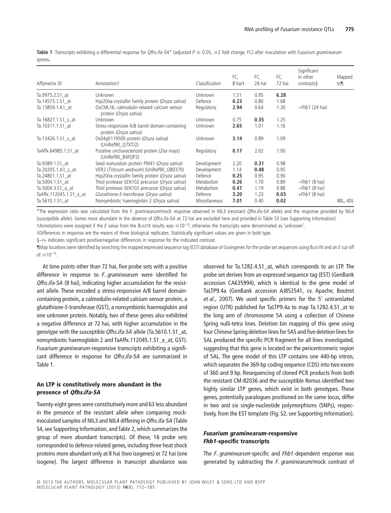| Affymetrix ID           | Annotationt                                                              | Classification | FC,<br>8 hai‡ | FC,<br>24 hai | FC,<br>72 hai | Significant<br>in other<br>contrasts | Mapped<br>to |
|-------------------------|--------------------------------------------------------------------------|----------------|---------------|---------------|---------------|--------------------------------------|--------------|
| Ta.9975.2.S1 at         | Unknown                                                                  | Unknown        | 1.51          | 0.95          | 6.28          |                                      |              |
| Ta.14573.1.S1 at        | Hsp20/ $\alpha$ -crystallin family protein (Oryza sativa)                | Defence        | 0.23          | 0.80          | 1.68          |                                      |              |
| Ta.13859.1.A1 at        | OsCML16; calmodulin-related calcium sensor<br>protein (Oryza sativa)     | Regulatory     | 2.94          | 0.64          | 1.30          | $-Fhb1$ (24 hai)                     |              |
| Ta.16827.1.S1 s at      | Unknown                                                                  | Unknown        | 0.75          | 0.35          | 1.25          |                                      |              |
| Ta.10311.1.S1 at        | Stress-responsive A/B barrel domain-containing<br>protein (Oryza sativa) | Unknown        | 2.65          | 1.01          | 1.16          |                                      |              |
| Ta.13426.1.S1 s at      | Os04q0119500 protein (Oryza sativa)<br>(UniRef90 Q7XTJ2)                 | Unknown        | 3.14          | 0.89          | 1.09          |                                      |              |
| TaAffx.64985.1.S1 at    | Putative uncharacterized protein (Zea mays)<br>(UniRef90 B4FQP2)         | Regulatory     | 0.17          | 2.02          | 1.00          |                                      |              |
| Ta.9389.1.S1 at         | Seed maturation protein PM41 (Oryza sativa)                              | Development    | 2.20          | 0.31          | 0.98          |                                      |              |
| Ta.20205.1.A1 s at      | VER2 (Triticum aestivum) (UniRef90 080370)                               | Development    | 1.14          | 0.48          | 0.95          |                                      |              |
| Ta.24801.1.S1 at        | Hsp20/ $\alpha$ -crystallin family protein (Oryza sativa)                | Defence        | 0.25          | 0.95          | 0.90          |                                      |              |
| Ta.5004.1.S1 at         | Thiol protease SEN102 precursor (Oryza sativa)                           | Metabolism     | 0.26          | 1.70          | 0.89          | $-Fhb1$ (8 hai)                      |              |
| Ta.5004.3.S1 a at       | Thiol protease SEN102 precursor (Oryza sativa)                           | Metabolism     | 0.47          | 1.19          | 0.88          | $-Fhb1$ (8 hai)                      |              |
| TaAffx.112045.1.S1 x at | Glutathione-S-transferase (Oryza sativa)                                 | Defence        | 3.20          | 1.23          | 0.03          | $+fhb1$ (8 hai)                      |              |
| Ta.5610.1.S1 at         | Nonsymbiotic haemoglobin 2 (Oryza sativa)                                | Miscellaneous  | 7.01          | 0.40          | 0.02          |                                      | 4BL, 4DL     |

**Table 1** Transcripts exhibiting a differential response for *Qfhs.ifa-5A\** (adjusted *P* ≤ 0.05, ≥2 fold change, FC) after inoculation with *Fusarium graminearum* spores**.**

\*The expression ratio was calculated from the *F. graminearum*/mock response observed in NIL3 (resistant *Qfhs.ifa-5A* allele) and the response provided by NIL4 (susceptible allele). Genes more abundant in the absence of *Qfhs.ifa-5A* at 72 hai are excluded here and provided in Table S3 (see Supporting Information).

 $\dagger$ Annotations were assigned if the *E* value from the BLASTX results was  $\leq 10^{-10}$ ; otherwise the transcripts were denominated as 'unknown'.

‡Differences in response are the means of three biological replicates. Statistically significant values are given in bold type.

§-/+ indicates significant positive/negative differences in response for the indicated contrast.

¶Map locations were identified by searching the mapped expressed sequence tag (EST) database of Graingenes for the probe set sequences using BLASTN and an *E* cut-off of  $\leq 10^{-10}$ .

At time points other than 72 hai, five probe sets with a positive difference in response to *F. graminearum* were identified for *Qfhs.ifa-5A* (8 hai), indicating higher accumulation for the resistant allele. These encoded a stress-responsive A/B barrel domaincontaining protein, a calmodulin-related calcium sensor protein, a glutathione-*S*-transferase (GST), a nonsymbiotic haemoglobin and one unknown protein. Notably, two of these genes also exhibited a negative difference at 72 hai, with higher accumulation in the genotype with the susceptible *Qfhs.ifa-5A* allele (Ta.5610.1.S1\_at, nonsymbiotic haemoglobin 2 and TaAffx.112045.1.S1\_x\_at, GST). *Fusarium graminearum*-responsive transcripts exhibiting a significant difference in response for *Qfhs.ifa-5A* are summarized in Table 1.

# **An LTP is constitutively more abundant in the presence of** *Qfhs.ifa-5A*

Twenty-eight genes were constitutively more and 63 less abundant in the presence of the resistant allele when comparing mockinoculated samples of NIL3 and NIL4 differing in *Qfhs.ifa-5A* (Table S4, see Supporting Information, and Table 2, which summarizes the group of more abundant transcripts). Of these, 16 probe sets corresponded to defence-related genes, including three heat shock proteins more abundant only at 8 hai (two isogenes) or 72 hai (one isogene). The largest difference in transcript abundance was

observed for Ta.1282.4.S1\_at, which corresponds to an LTP. The probe set derives from an expressed sequence tag (EST) (GenBank accession CA635994), which is identical to the gene model of TaLTP9.4a (GenBank accession AJ852541, cv. Apache; Boutrot *et al*., 2007). We used specific primers for the 5′ untranslated region (UTR) published for TaLTP9.4a to map Ta.1282.4.S1\_at to the long arm of chromosome 5A using a collection of Chinese Spring nulli-tetra lines. Deletion bin mapping of this gene using four Chinese Spring deletion lines for 5AS and five deletion lines for 5AL produced the specific PCR fragment for all lines investigated, suggesting that this gene is located on the pericentromeric region of 5AL. The gene model of this LTP contains one 440-bp intron, which separates the 369-bp coding sequence (CDS) into two exons of 360 and 9 bp. Resequencing of cloned PCR products from both the resistant CM-82036 and the susceptible Remus identified two highly similar LTP genes, which exist in both genotypes. These genes, potentially paralogues positioned on the same locus, differ in two and six single-nucleotide polymorphisms (SNPs), respectively, from the EST template (Fig. S2, see Supporting Information).

# *Fusarium graminearum***-responsive** *Fhb1***-specific transcripts**

The *F. graminearum*-specific and *Fhb1*-dependent response was generated by subtracting the *F. graminearum/*mock contrast of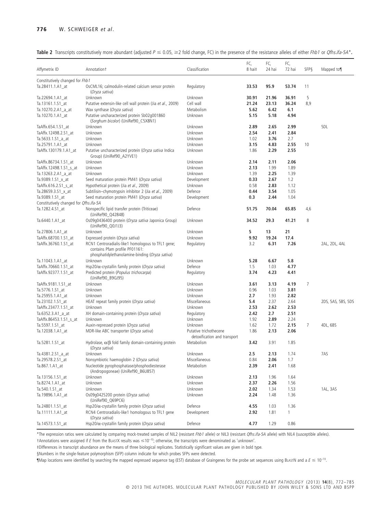|  |  |  |  |  | Table 2 Transcripts constitutively more abundant (adjusted $P \le 0.05$ , $\ge 2$ fold change, FC) in the presence of the resistance alleles of either Fhb1 or Qfhs.ifa-5A*. |  |
|--|--|--|--|--|------------------------------------------------------------------------------------------------------------------------------------------------------------------------------|--|
|--|--|--|--|--|------------------------------------------------------------------------------------------------------------------------------------------------------------------------------|--|

| Affymetrix ID                                             | Annotationt                                                                                                                             | Classification                                         | FC,<br>8 hai‡ | FC,<br>24 hai | FC,<br>72 hai | SFPS | Mapped to¶         |
|-----------------------------------------------------------|-----------------------------------------------------------------------------------------------------------------------------------------|--------------------------------------------------------|---------------|---------------|---------------|------|--------------------|
|                                                           |                                                                                                                                         |                                                        |               |               |               |      |                    |
| Constitutively changed for Fhb1<br>Ta.28411.1.A1_at       | OsCML16; calmodulin-related calcium sensor protein<br>(Oryza sativa)                                                                    | Regulatory                                             | 33.53         | 95.9          | 53.74         | 11   |                    |
| Ta.22694.1.A1 at                                          | Unknown                                                                                                                                 | Unknown                                                | 30.91         | 21.96         | 36.91         | 5    |                    |
| Ta.13161.1.S1_at                                          | Putative extensin-like cell wall protein (Jia et al., 2009)                                                                             | Cell wall                                              | 21.24         | 23.13         | 36.24         | 8,9  |                    |
| Ta.10270.2.A1_a_at                                        | Wax synthase (Oryza sativa)                                                                                                             | Metabolism                                             | 5.62          | 6.42          | 6.1           |      |                    |
| Ta.10270.1.A1_at                                          | Putative uncharacterized protein Sb02q001860<br>(Sorghum bicolor) (UniRef90_C5X8N1)                                                     | Unknown                                                | 5.15          | 5.18          | 4.94          |      |                    |
| TaAffx.654.1.S1 at                                        | Unknown                                                                                                                                 | Unknown                                                | 2.89          | 2.65          | 2.99          |      | 5DL                |
| TaAffx.12498.2.S1 at                                      | Unknown                                                                                                                                 | Unknown                                                | 2.54          | 2.41          | 2.84          |      |                    |
| Ta.5633.1.S1 a at                                         | Unknown                                                                                                                                 | Unknown                                                | 1.02          | 3.76          | 2.7           |      |                    |
| Ta.25791.1.A1 at                                          | Unknown                                                                                                                                 | Unknown                                                | 3.15          | 4.83          | 2.55          | 10   |                    |
| TaAffx.130179.1.A1_at                                     | Putative uncharacterized protein (Oryza sativa Indica<br>Group) (UniRef90_A2YVE1)                                                       | Unknown                                                | 1.86          | 2.29          | 2.55          |      |                    |
| TaAffx.86734.1.S1_at                                      | Unknown                                                                                                                                 | Unknown                                                | 2.14          | 2.11          | 2.06          |      |                    |
| TaAffx.12498.1.S1_s_at                                    | Unknown                                                                                                                                 | Unknown                                                | 2.13          | 1.99          | 1.89          |      |                    |
| Ta.13263.2.A1_a_at                                        | Unknown                                                                                                                                 | Unknown                                                | 1.39          | 2.25          | 1.39          |      |                    |
| Ta.9389.1.S1_x_at                                         | Seed maturation protein PM41 (Oryza sativa)                                                                                             | Development                                            | 0.33          | 2.67          | 1.2           |      |                    |
| TaAffx.616.2.S1_s_at                                      | Hypothetical protein (Jia et al., 2009)                                                                                                 | Unknown                                                | 0.58          | 2.83          | 1.12          |      |                    |
| Ta.28659.3.S1_x_at                                        | Subtilisin-chymotrypsin inhibitor 2 (Jia et al., 2009)                                                                                  | Defence                                                | 0.44          | 3.54          | 1.05          |      |                    |
| Ta.9389.1.S1_at<br>Constitutively changed for Qfhs.ifa-5A | Seed maturation protein PM41 (Oryza sativa)                                                                                             | Development                                            | 0.3           | 2.44          | 1.04          |      |                    |
| Ta.1282.4.S1_at                                           | Nonspecific lipid transfer protein (Triticeae)<br>(UniRef90_Q42848)                                                                     | Defence                                                | 51.75         | 70.04         | 65.85         | 4,6  |                    |
| Ta.6440.1.A1_at                                           | Os09q0436400 protein (Oryza sativa Japonica Group)<br>(UniRef90_Q0J1J3)                                                                 | Unknown                                                | 34.52         | 29.3          | 41.21         | 8    |                    |
| Ta.27806.1.A1_at                                          | Unknown                                                                                                                                 | Unknown                                                | 5             | 13            | 21            |      |                    |
| TaAffx.68700.1.S1 at                                      | Expressed protein (Oryza sativa)                                                                                                        | Unknown                                                | 9.92          | 19.24         | 17.4          |      |                    |
| TaAffx.36760.1.S1 at                                      | RCN1 Centroradialis-like1 homologous to TFL1 gene;<br>contains Pfam profile PF01161:<br>phosphatidylethanolamine-binding (Oryza sativa) | Regulatory                                             | 3.2           | 6.31          | 7.26          |      | 2AL, 2DL, 4AL      |
| Ta.11043.1.A1_at                                          | Unknown                                                                                                                                 | Unknown                                                | 5.28          | 6.67          | 5.8           |      |                    |
| TaAffx.70660.1.S1_at                                      | Hsp20/ $\alpha$ -crystallin family protein (Oryza sativa)                                                                               | Defence                                                | 1.5           | 1.03          | 4.77          |      |                    |
| TaAffx.92377.1.S1_at                                      | Predicted protein (Populus trichocarpa)<br>(UniRef90_B9GJ95)                                                                            | Regulatory                                             | 3.74          | 4.23          | 4.41          |      |                    |
| TaAffx.9181.1.S1_at                                       | Unknown                                                                                                                                 | Unknown                                                | 3.61          | 3.13          | 4.19          | 7    |                    |
| Ta.5776.1.S1_at                                           | Unknown                                                                                                                                 | Unknown                                                | 0.96          | 1.03          | 3.81          |      |                    |
| Ta.25955.1.A1_at                                          | Unknown                                                                                                                                 | Unknown                                                | 2.7           | 1.93          | 2.82          |      |                    |
| Ta.23102.1.S1_at                                          | HEAT repeat family protein (Oryza sativa)                                                                                               | Miscellaneous                                          | 5.4           | 2.37          | 2.64          |      | 2DS, 5AS, 5BS, 5DS |
| TaAffx.23477.1.S1_at                                      | Unknown                                                                                                                                 | Unknown                                                | 2.53          | 2.62          | 2.53          |      |                    |
| Ta.6352.3.A1_a_at                                         | XH domain-containing protein (Oryza sativa)                                                                                             | Regulatory                                             | 2.42          | 2.7           | 2.51          |      |                    |
| TaAffx.86453.1.S1_s_at                                    | Unknown                                                                                                                                 | Unknown                                                | 1.92          | 2.89          | 2.24          |      |                    |
| Ta.5597.1.S1 at                                           | Auxin-repressed protein (Oryza sativa)                                                                                                  | Unknown                                                | 1.62          | 1.72          | 2.15          | 7    | 4DL, 6BS           |
| Ta.12038.1.A1_at                                          | MDR-like ABC transporter (Oryza sativa)                                                                                                 | Putative trichothecene<br>detoxification and transport | 1.86          | 2.13          | 2.06          |      |                    |
| Ta.5281.1.S1_at                                           | Hydrolase, $\alpha$ / $\beta$ fold family domain-containing protein<br>(Oryza sativa)                                                   | Metabolism                                             | 3.42          | 3.91          | 1.85          |      |                    |
| Ta.4381.2.S1_a_at                                         | Unknown                                                                                                                                 | Unknown                                                | 2.5           | 2.13          | 1.74          |      | 7AS                |
| Ta.29578.2.S1_at                                          | Nonsymbiotic haemoglobin 2 (Oryza sativa)                                                                                               | Miscellaneous                                          | 0.84          | 2.06          | 1.7           |      |                    |
| Ta.867.1.A1_at                                            | Nucleotide pyrophosphatase/phosphodiesterase<br>(Andropogoneae) (UniRef90_B6U857)                                                       | Metabolism                                             | 2.39          | 2.41          | 1.68          |      |                    |
| Ta.13156.1.S1_at                                          | Unknown                                                                                                                                 | Unknown                                                | 2.13          | 1.96          | 1.64          |      |                    |
| Ta.8274.1.A1_at                                           | Unknown                                                                                                                                 | Unknown                                                | 2.37          | 2.26          | 1.56          |      |                    |
| Ta.540.1.S1_at                                            | Unknown                                                                                                                                 | Unknown                                                | 2.02          | 1.34          | 1.53          |      | 1AL, 3AS           |
| Ta.19896.1.A1_at                                          | Os09q0425200 protein (Oryza sativa)<br>(UniRef90_Q69PC6)                                                                                | Unknown                                                | 2.24          | 1.48          | 1.36          |      |                    |
| Ta.24801.1.S1_at                                          | Hsp20/ $\alpha$ -crystallin family protein (Oryza sativa)                                                                               | Defence                                                | 4.55          | 1.03          | 1.36          |      |                    |
| Ta.11111.1.A1 at                                          | RCN4 Centroradialis-like1 homologous to TFL1 gene<br>(Oryza sativa)                                                                     | Development                                            | 2.92          | 1.81          | 1             |      |                    |
| Ta.14573.1.S1 at                                          | Hsp20/ $\alpha$ -crystallin family protein (Oryza sativa)                                                                               | Defence                                                | 4.77          | 1.29          | 0.86          |      |                    |

\*The expression ratios were calculated by comparing mock-treated samples of NIL2 (resistant *Fhb1* allele) or NIL3 (resistant *Qfhs.ifa-5A* allele) with NIL4 (susceptible alleles).

†Annotations were assigned if *E* from the BLASTX results was ≤10<sup>-10</sup>; otherwise, the transcripts were denominated as 'unknown'.

‡Differences in transcript abundance are the means of three biological replicates. Statistically significant values are given in bold type.

§Numbers in the single-feature polymorphism (SFP) column indicate for which probes SFPs were detected.

 $\P$ Map locations were identified by searching the mapped expressed sequence tag (EST) database of Graingenes for the probe set sequences using BLASTN and a  $E \le 10^{-10}$ .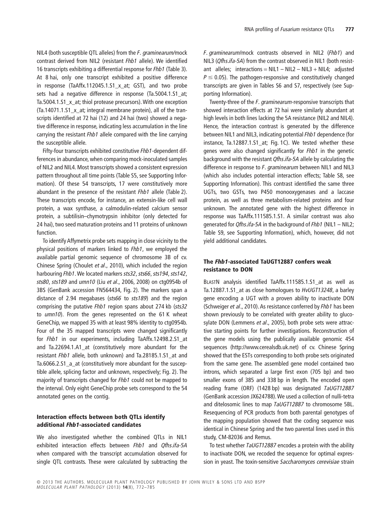NIL4 (both susceptible QTL alleles) from the *F. graminearum/*mock contrast derived from NIL2 (resistant *Fhb1* allele). We identified 16 transcripts exhibiting a differential response for *Fhb1* (Table 3). At 8 hai, only one transcript exhibited a positive difference in response (TaAffx.112045.1.S1\_x\_at; GST), and two probe sets had a negative difference in response (Ta.5004.1.S1\_at; Ta.5004.1.S1\_x\_at; thiol protease precursors). With one exception (Ta.14071.1.S1\_x\_at; integral membrane protein), all of the transcripts identified at 72 hai (12) and 24 hai (two) showed a negative difference in response, indicating less accumulation in the line carrying the resistant *Fhb1* allele compared with the line carrying the susceptible allele.

Fifty-four transcripts exhibited constitutive *Fhb1*-dependent differences in abundance, when comparing mock-inoculated samples of NIL2 and NIL4. Most transcripts showed a consistent expression pattern throughout all time points (Table S5, see Supporting Information). Of these 54 transcripts, 17 were constitutively more abundant in the presence of the resistant *Fhb1* allele (Table 2). These transcripts encode, for instance, an extensin-like cell wall protein, a wax synthase, a calmodulin-related calcium sensor protein, a subtilisin–chymotrypsin inhibitor (only detected for 24 hai), two seed maturation proteins and 11 proteins of unknown function.

To identify Affymetrix probe sets mapping in close vicinity to the physical positions of markers linked to *Fhb1*, we employed the available partial genomic sequence of chromosome 3B of cv. Chinese Spring (Choulet *et al*., 2010), which included the region harbouring *Fhb1*. We located markers *sts32*, *sts66*, *sts194*, *sts142*, *sts80*, *sts189* and *umn10* (Liu *et al*., 2006, 2008) on ctg0954b of 3BS (GenBank accession FN564434, Fig. 2). The markers span a distance of 2.94 megabases (*sts66* to *sts189*) and the region comprising the putative *Fhb1* region spans about 274 kb (*sts32* to *umn10*). From the genes represented on the 61 K wheat GeneChip, we mapped 35 with at least 98% identity to ctg0954b. Four of the 35 mapped transcripts were changed significantly for *Fhb1* in our experiments, including TaAffx.12498.2.S1\_at and Ta.22694.1.A1\_at (constitutively more abundant for the resistant *Fhb1* allele, both unknown) and Ta.28185.1.S1\_at and Ta.6066.2.S1\_a\_at (constitutively more abundant for the susceptible allele, splicing factor and unknown, respectively; Fig. 2). The majority of transcripts changed for *Fhb1* could not be mapped to the interval. Only eight GeneChip probe sets correspond to the 54 annotated genes on the contig.

# **Interaction effects between both QTLs identify additional** *Fhb1***-associated candidates**

We also investigated whether the combined QTLs in NIL1 exhibited interaction effects between *Fhb1* and *Qfhs.ifa-5A* when compared with the transcript accumulation observed for single QTL contrasts. These were calculated by subtracting the *F. graminearum*/mock contrasts observed in NIL2 (*Fhb1*) and NIL3 (*Qfhs.ifa-5A*) from the contrast observed in NIL1 (both resistant alleles; interactions = NIL1 – NIL2 – NIL3 + NIL4; adjusted  $P \leq$  0.05). The pathogen-responsive and constitutively changed transcripts are given in Tables S6 and S7, respectively (see Supporting Information).

Twenty-three of the *F. graminearum*-responsive transcripts that showed interaction effects at 72 hai were similarly abundant at high levels in both lines lacking the 5A resistance (NIL2 and NIL4). Hence, the interaction contrast is generated by the difference between NIL1 and NIL3, indicating potential *Fhb1* dependence (for instance, Ta.12887.1.S1 at; Fig. 1C). We tested whether these genes were also changed significantly for *Fhb1* in the genetic background with the resistant *Qfhs.ifa-5A* allele by calculating the difference in response to *F. graminearum* between NIL1 and NIL3 (which also includes potential interaction effects; Table S8, see Supporting Information). This contrast identified the same three UGTs, two GSTs, two P450 monooxygenases and a laccase protein, as well as three metabolism-related proteins and four unknown. The annotated gene with the highest difference in response was TaAffx.111585.1.S1. A similar contrast was also generated for *Qfhs.ifa-5A* in the background of *Fhb1* (NIL1 – NIL2; Table S9, see Supporting Information), which, however, did not yield additional candidates.

# **The** *Fhb1***-associated TaUGT12887 confers weak resistance to DON**

BLASTN analysis identified TaAffx.111585.1.S1\_at as well as Ta.12887.1.S1\_at as close homologues to *HvUGT13248*, a barley gene encoding a UGT with a proven ability to inactivate DON (Schweiger *et al*., 2010). As resistance conferred by *Fhb1* has been shown previously to be correlated with greater ability to glucosylate DON (Lemmens *et al*., 2005), both probe sets were attractive starting points for further investigations. Reconstruction of the gene models using the publically available genomic 454 sequences [\(http://www.cerealsdb.uk.net\)](http://www.cerealsdb.uk.net) of cv. Chinese Spring showed that the ESTs corresponding to both probe sets originated from the same gene. The assembled gene model contained two introns, which separated a large first exon (705 bp) and two smaller exons of 385 and 338 bp in length. The encoded open reading frame (ORF) (1428 bp) was designated *TaUGT12887* (GenBank accession JX624788).We used a collection of nulli-tetra and ditelosomic lines to map *TaUGT12887* to chromosome 5BL. Resequencing of PCR products from both parental genotypes of the mapping population showed that the coding sequence was identical in Chinese Spring and the two parental lines used in this study, CM-82036 and Remus.

To test whether *TaUGT12887* encodes a protein with the ability to inactivate DON, we recoded the sequence for optimal expression in yeast. The toxin-sensitive *Saccharomyces cerevisiae* strain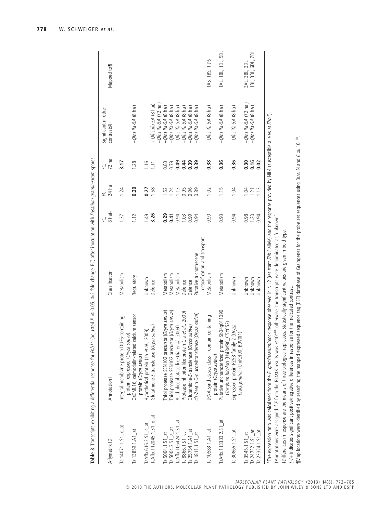| Affymetrix ID                   | Annotationt                                                                                                                                                                                                                                                                                                                                                                           | Classification                                                                 | 8 hai‡         | 24 hai<br>낲 | 72 hai | Significant in other<br>contrasts§                                        | Mapped to          |
|---------------------------------|---------------------------------------------------------------------------------------------------------------------------------------------------------------------------------------------------------------------------------------------------------------------------------------------------------------------------------------------------------------------------------------|--------------------------------------------------------------------------------|----------------|-------------|--------|---------------------------------------------------------------------------|--------------------|
| Ta. $14071.1.51 \times d$       | Integral membrane protein DUF6-containing<br>Sativa)<br>protein, expressed (Oryza                                                                                                                                                                                                                                                                                                     | Metabolism                                                                     | 1.37           | 1.24        | 3.17   |                                                                           |                    |
| Ta.13859.1.A1_at                | OsCML16; calmodulin-related calcium sensor<br>protein (Oryza sativa)                                                                                                                                                                                                                                                                                                                  | Regulatory                                                                     | 1.12           | 0.20        | 1.28   | $-Q$ fhs.ifa-5A (8 hai)                                                   |                    |
| TaAffx.616.2.S1 s at            | Hypothetical protein (Jia et al., 2009)                                                                                                                                                                                                                                                                                                                                               | Unknown                                                                        | 1.49           | 0.27        | 1.16   |                                                                           |                    |
| TaAffx.112045.1.S1_x_at         | Glutathione-S-transferase (Oryza sativa)                                                                                                                                                                                                                                                                                                                                              | Defence                                                                        | 3.26           | 1.58        | 1.11   | $-\mathcal{Q}$ ths.ifa-5A (72 hai)<br>+ $Qfhs.if a$ -5A $(8 \text{ hai})$ |                    |
| $Ta.5004.1.51$ $at$             | Thiol protease SEN102 precursor (Oryza sativa)                                                                                                                                                                                                                                                                                                                                        | Metabolism                                                                     | 0.29           | 1.52        | 0.83   | $-Q$ fhs.ifa-5A (8 hai)                                                   |                    |
| Ta.5004.3.S1 a at               | Thiol protease SEN102 precursor (Oryza sativa)                                                                                                                                                                                                                                                                                                                                        | Metabolism                                                                     |                | 1.24        | 0.79   | $-Q$ fhs.ifa-5A (8 hai)                                                   |                    |
| TaAffx.106424.1.S1_at           | Acid phosphatase-like (Jia et al., 2009)                                                                                                                                                                                                                                                                                                                                              | Metabolism                                                                     | $0.41$<br>0.94 | 1.13        | 0.49   | $-Q$ fhs.ifa-5A (8 hai)                                                   |                    |
| Ta.8866.1.S1 at                 | Protease inhibitor-like protein (Jia et al., 2009)                                                                                                                                                                                                                                                                                                                                    | Defence                                                                        |                | 0.95        |        | $-Q$ fhs.ifa-5A (8 hai)                                                   |                    |
| Ta.25754.1.A1_at                | Glutathione-S-transferase (Oryza sativa)                                                                                                                                                                                                                                                                                                                                              | Defence                                                                        | $1.03$<br>0.99 | 0.96        | 0.39   | $-Q$ fhs.ifa-5A (8 hai)                                                   |                    |
| $Ta.1811.1.51$ <sub>_</sub> at  | cis-Zeatin O-glucosyltransferase (Oryza sativa)                                                                                                                                                                                                                                                                                                                                       | Putative trichothecene                                                         | 0.94           | 0.89        | 0.39   | $-Qfhs.$ ifa-5A (8 hai)                                                   |                    |
|                                 |                                                                                                                                                                                                                                                                                                                                                                                       | detoxification and transport                                                   |                |             |        |                                                                           |                    |
| Ta.10583.1.A1_at                | tRNA synthetases class II domain-containing<br>protein (Oryza sativa)                                                                                                                                                                                                                                                                                                                 | Metabolism                                                                     | 0.90           | 1.02        | 0.38   | $-Qfhs.$ if a-5A $(8 \text{ hai})$                                        | 1AS, 1BS, 1DS      |
| TaAffx.113333.2.51_at           | Putative uncharacterized protein Sb04q011090<br>(Sorghum bicolor) (UniRef90_C5Y052)                                                                                                                                                                                                                                                                                                   | Metabolism                                                                     | 0.93           | 1.15        | 0.36   | $-Q$ fhs.ifa-5A (8 hai)                                                   | 1AL, 1BL, 1DL, 5DL |
| Ta.30866.1.S1_at                | Expressed protein-RZ53 family-2 (Oryza<br>brachyantha) (UniRef90_B9V0I1)                                                                                                                                                                                                                                                                                                              | Unknown                                                                        | 0.94           | 1.04        | 0.36   | $-Qfhs.$ if a-5A $(8 \text{ hai})$                                        |                    |
| Ta.3545.1.S1_at                 |                                                                                                                                                                                                                                                                                                                                                                                       | Unknown                                                                        | 0.98           | 1.04        | 0.30   | $-Q$ fhs.ifa-5A $(72$ hai)                                                | 3AL, 3BL, 3DL      |
| $Ta.24732.1.51$ <sub>_</sub> at |                                                                                                                                                                                                                                                                                                                                                                                       | Unknown                                                                        | 1.20           | 1.21        | 0.16   | $-Q$ fhs.ifa-5A (8 hai)                                                   | 1BL, 3BL, 6DL, 7BL |
| Ta.23324.1.S1_at                |                                                                                                                                                                                                                                                                                                                                                                                       | Unknown                                                                        | 0.94           | 1.13        | 0.02   |                                                                           |                    |
|                                 | The expression ratio was calculated from the F. graminearum/mock response observed in NIL2 (resistant Fhb1 allele) and the response provided by NIL4 (susceptible alleles at Fhb1).<br>‡Differences in response are the means of three biological replicates. Statistically significant values are given in bold type.<br>tAnnotations were assigned if E from the BLASTX results was | ≤10 <sup>-10</sup> ; otherwise, the transcripts were denominated as 'unknown'. |                |             |        |                                                                           |                    |
|                                 |                                                                                                                                                                                                                                                                                                                                                                                       |                                                                                |                |             |        |                                                                           |                    |

**778** W. SCHWEIGER *et al*.

**Table 3** Transcripts exhibiting a differential response for *Fhb1*\* (adjusted *P* -

Table 3 Transcripts exhibiting a differential response for Frib 1\* (adjusted P = 0.05, =2 fold change, FC) after inoculation with Fusarium graminearum spores.

2 fold change, FC) after inoculation with *Fusarium graminearum* spores**.**

§-/+ indicates significant positive/negative differences in response for the indicated contrast.

§-/+ indicates significant positive/negative differences in response for the indicated contrast.

¶Map locations were identified by searching the mapped expressed sequence tag (EST) database of Graingenes for the probe set sequences using BLASTN and *E* - $\mathbb{I}$ Map locations were identified by searching the mapped expressed sequence tag (EST) database of Graingenes for the probe set sequences using BLASTN and  $\epsilon \leq 10^{-10}$ .

*MOLECULAR PLANT PATHOLOGY* (2013) **14**(8), 772–785<br>O 2013 THE AUTHORS. MOLECULAR PLANT PATHOLOGY PUBLISHED BY JOHN WILEY & SONS LTD AND BSPP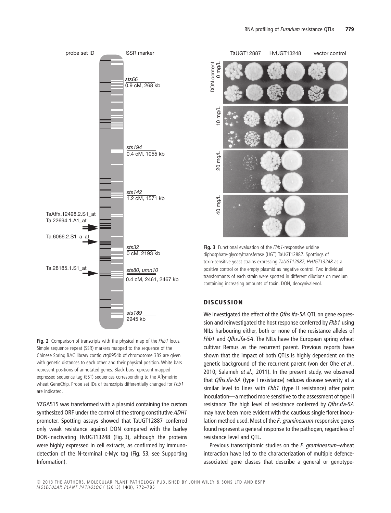



YZGA515 was transformed with a plasmid containing the custom synthesized ORF under the control of the strong constitutive *ADH1* promoter. Spotting assays showed that TaUGT12887 conferred only weak resistance against DON compared with the barley DON-inactivating HvUGT13248 (Fig. 3), although the proteins were highly expressed in cell extracts, as confirmed by immunodetection of the N-terminal c-Myc tag (Fig. S3, see Supporting Information).



**Fig. 3** Functional evaluation of the *Fhb1*-responsive uridine diphosphate-glycosyltransferase (UGT) TaUGT12887. Spottings of toxin-sensitive yeast strains expressing *TaUGT12887*, *HvUGT13248* as a positive control or the empty plasmid as negative control. Two individual transformants of each strain were spotted in different dilutions on medium containing increasing amounts of toxin. DON, deoxynivalenol.

# **DISCUSSION**

We investigated the effect of the *Qfhs.ifa-5A* QTL on gene expression and reinvestigated the host response conferred by *Fhb1* using NILs harbouring either, both or none of the resistance alleles of *Fhb1* and *Qfhs.ifa-5A*. The NILs have the European spring wheat cultivar Remus as the recurrent parent. Previous reports have shown that the impact of both QTLs is highly dependent on the genetic background of the recurrent parent (von der Ohe *et al*., 2010; Salameh *et al*., 2011). In the present study, we observed that *Qfhs.ifa-5A* (type I resistance) reduces disease severity at a similar level to lines with *Fhb1* (type II resistance) after point inoculation—a method more sensitive to the assessment of type II resistance. The high level of resistance conferred by *Qfhs.ifa-5A* may have been more evident with the cautious single floret inoculation method used. Most of the *F. graminearum*-responsive genes found represent a general response to the pathogen, regardless of resistance level and QTL.

Previous transcriptomic studies on the *F. graminearum*–wheat interaction have led to the characterization of multiple defenceassociated gene classes that describe a general or genotype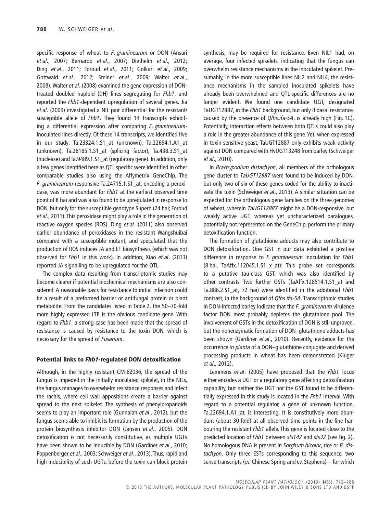specific response of wheat to *F. graminearum* or DON (Ansari *et al*., 2007; Bernardo *et al*., 2007; Diethelm *et al*., 2012; Ding *et al*., 2011; Foroud *et al*., 2011; Golkari *et al*., 2009; Gottwald *et al*., 2012; Steiner *et al*., 2009; Walter *et al*., 2008). Walter *et al*. (2008) examined the gene expression of DONtreated doubled haploid (DH) lines segregating for *Fhb1*, and reported the *Fhb1*-dependent upregulation of several genes. Jia *et al*. (2009) investigated a NIL pair differential for the resistant/ susceptible allele of *Fhb1*. They found 14 transcripts exhibiting a differential expression after comparing *F. graminearum*inoculated lines directly. Of these 14 transcripts, we identified five in our study: Ta.23324.1.S1\_at (unknown), Ta.22694.1.A1\_at (unknown), Ta.28185.1.S1\_at (splicing factor), Ta.438.3.S1\_at (nuclease) and Ta.9489.1.S1\_at (regulatory gene). In addition, only a few genes identified here as QTL specific were identified in other comparable studies also using the Affymetrix GeneChip. The *F. graminearum*-responsive Ta.24715.1.S1\_at, encoding a peroxidase, was more abundant for *Fhb1* at the earliest observed time point of 8 hai and was also found to be upregulated in response to DON, but only for the susceptible genotype Superb (24 hai; Foroud *et al*., 2011). This peroxidase might play a role in the generation of reactive oxygen species (ROS). Ding *et al*. (2011) also observed earlier abundance of peroxidases in the resistant Wangshuibai compared with a susceptible mutant, and speculated that the production of ROS induces JA and ET biosynthesis (which was not observed for *Fhb1* in this work). In addition, Xiao *et al*. (2013) reported JA signalling to be upregulated for the QTL.

The complex data resulting from transcriptomic studies may become clearer if potential biochemical mechanisms are also considered. A reasonable basis for resistance to initial infection could be a result of a preformed barrier or antifungal protein or plant metabolite. From the candidates listed in Table 2, the 50–70-fold more highly expressed LTP is the obvious candidate gene. With regard to *Fhb1*, a strong case has been made that the spread of resistance is caused by resistance to the toxin DON, which is necessary for the spread of *Fusarium*.

#### **Potential links to** *Fhb1***-regulated DON detoxification**

Although, in the highly resistant CM-82036, the spread of the fungus is impeded in the initially inoculated spikelet, in the NILs, the fungus manages to overwhelm resistance responses and infect the rachis, where cell wall appositions create a barrier against spread to the next spikelet. The synthesis of phenylpropanoids seems to play an important role (Gunnaiah *et al*., 2012), but the fungus seems able to inhibit its formation by the production of the protein biosynthesis inhibitor DON (Jansen *et al*., 2005). DON detoxification is not necessarily constitutive, as multiple UGTs have been shown to be inducible by DON (Gardiner *et al*., 2010; Poppenberger *et al*., 2003; Schweiger *et al*., 2013). Thus, rapid and high inducibility of such UGTs, before the toxin can block protein

synthesis, may be required for resistance. Even NIL1 had, on average, four infected spikelets, indicating that the fungus can overwhelm resistance mechanisms in the inoculated spikelet. Presumably, in the more susceptible lines NIL2 and NIL4, the resistance mechanisms in the sampled inoculated spikelets have already been overwhelmed and QTL-specific differences are no longer evident. We found one candidate UGT, designated TaUGT12887, in the *Fhb1* background, but only if basal resistance, caused by the presence of *Qfhs.ifa-5A*, is already high (Fig. 1C). Potentially, interaction effects between both QTLs could also play a role in the greater abundance of this gene. Yet, when expressed in toxin-sensitive yeast, TaUGT12887 only exhibits weak activity against DON compared with HvUGT13248 from barley (Schweiger *et al*., 2010).

In *Brachypodium distachyon*, all members of the orthologous gene cluster to *TaUGT12887* were found to be induced by DON, but only two of six of these genes coded for the ability to inactivate the toxin (Schweiger *et al*., 2013). A similar situation can be expected for the orthologous gene families on the three genomes of wheat, wherein *TaUGT12887* might be a DON-responsive, but weakly active UGT, whereas yet uncharacterized paralogues, potentially not represented on the GeneChip, perform the primary detoxification function.

The formation of glutathione adducts may also contribute to DON detoxification. One GST in our data exhibited a positive difference in response to *F. graminearum* inoculation for *Fhb1* (8 hai, TaAffx.112045.1.S1\_x\_at): This probe set corresponds to a putative tau-class GST, which was also identified by other contrasts. Two further GSTs (TaAffx.128514.1.S1\_at and Ta.886.2.S1\_at, 72 hai) were identified in the additional *Fhb1* contrast, in the background of *Qfhs.ifa-5A*. Transcriptomic studies in DON-infected barley indicate that the *F. graminearum* virulence factor DON most probably depletes the glutathione pool. The involvement of GSTs in the detoxification of DON is still unproven, but the nonenzymatic formation of DON–glutathione adducts has been shown (Gardiner *et al*., 2010). Recently, evidence for the occurrence *in planta* of a DON–glutathione conjugate and derived processing products in wheat has been demonstrated (Kluger *et al*., 2012).

Lemmens *et al*. (2005) have proposed that the *Fhb1* locus either encodes a UGT or a regulatory gene affecting detoxification capability, but neither the UGT nor the GST found to be differentially expressed in this study is located in the *Fhb1* interval. With regard to a potential regulator, a gene of unknown function, Ta.22694.1.A1\_at, is interesting. It is constitutively more abundant (about 30-fold) at all observed time points in the line harbouring the resistant *Fhb1* allele. This gene is located close to the predicted location of *Fhb1* between *sts142* and *sts32* (see Fig. 2). No homologous DNA is present in *Sorghum bicolor*, rice or *B. distachyon*. Only three ESTs corresponding to this sequence, two sense transcripts (cv. Chinese Spring and cv. Stephens)—for which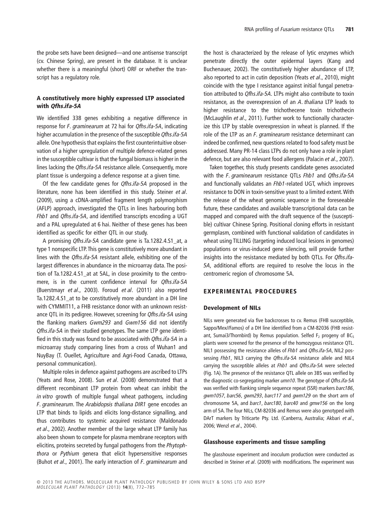the probe sets have been designed—and one antisense transcript (cv. Chinese Spring), are present in the database. It is unclear whether there is a meaningful (short) ORF or whether the transcript has a regulatory role.

# **A constitutively more highly expressed LTP associated with** *Qfhs.ifa-5A*

We identified 338 genes exhibiting a negative difference in response for *F. graminearum* at 72 hai for *Qfhs.ifa-5A*, indicating higher accumulation in the presence of the susceptible *Qfhs.ifa-5A* allele. One hypothesis that explains the first counterintuitive observation of a higher upregulation of multiple defence-related genes in the susceptible cultivar is that the fungal biomass is higher in the lines lacking the *Qfhs.ifa-5A* resistance allele. Consequently, more plant tissue is undergoing a defence response at a given time.

Of the few candidate genes for *Qfhs.ifa-5A* proposed in the literature, none has been identified in this study. Steiner *et al*. (2009), using a cDNA-amplified fragment length polymorphism (AFLP) approach, investigated the QTLs in lines harbouring both *Fhb1* and *Qfhs.ifa-5A*, and identified transcripts encoding a UGT and a PAL upregulated at 6 hai. Neither of these genes has been identified as specific for either QTL in our study.

A promising *Qfhs.ifa-5A* candidate gene is Ta.1282.4.S1\_at, a type 1 nonspecific LTP.This gene is constitutively more abundant in lines with the *Qfhs.ifa-5A* resistant allele, exhibiting one of the largest differences in abundance in the microarray data. The position of Ta.1282.4.S1\_at at 5AL, in close proximity to the centromere, is in the current confidence interval for *Qfhs.ifa-5A* (Buerstmayr *et al*., 2003). Foroud *et al*. (2011) also reported Ta.1282.4.S1\_at to be constitutively more abundant in a DH line with CYMMIT11, a FHB resistance donor with an unknown resistance QTL in its pedigree. However, screening for *Qfhs.ifa-5A* using the flanking markers *Gwm293* and *Gwm156* did not identify *Qfhs.ifa-5A* in their studied genotypes. The same LTP gene identified in this study was found to be associated with *Qfhs.ifa-5A* in a microarray study comparing lines from a cross of Wuhan1 and NuyBay (T. Ouellet, Agriculture and Agri-Food Canada, Ottawa, personal communication).

Multiple roles in defence against pathogens are ascribed to LTPs (Yeats and Rose, 2008). Sun *et al*. (2008) demonstrated that a different recombinant LTP protein from wheat can inhibit the *in vitro* growth of multiple fungal wheat pathogens, including *F. graminearum*. The *Arabidopsis thaliana DIR1* gene encodes an LTP that binds to lipids and elicits long-distance signalling, and thus contributes to systemic acquired resistance (Maldonado *et al*., 2002). Another member of the large wheat LTP family has also been shown to compete for plasma membrane receptors with elicitins, proteins secreted by fungal pathogens from the *Phytophthora* or *Pythium* genera that elicit hypersensitive responses (Buhot *et al*., 2001). The early interaction of *F. graminearum* and the host is characterized by the release of lytic enzymes which penetrate directly the outer epidermal layers (Kang and Buchenauer, 2002). The constitutively higher abundance of LTP, also reported to act in cutin deposition (Yeats *et al*., 2010), might coincide with the type I resistance against initial fungal penetration attributed to *Qfhs.ifa-5A*. LTPs might also contribute to toxin resistance, as the overexpression of an *A. thaliana* LTP leads to higher resistance to the trichothecene toxin trichothecin (McLaughlin *et al*., 2011). Further work to functionally characterize this LTP by stable overexpression in wheat is planned. If the role of the LTP as an *F. graminearum* resistance determinant can indeed be confirmed, new questions related to food safety must be addressed. Many PR-14 class LTPs do not only have a role in plant defence, but are also relevant food allergens (Palacin *et al*., 2007).

Taken together, this study presents candidate genes associated with the *F. graminearum* resistance QTLs *Fhb1* and *Qfhs.ifa-5A* and functionally validates an *Fhb1*-related UGT, which improves resistance to DON in toxin-sensitive yeast to a limited extent.With the release of the wheat genomic sequence in the foreseeable future, these candidates and available transcriptional data can be mapped and compared with the draft sequence of the (susceptible) cultivar Chinese Spring. Positional cloning efforts in resistant germplasm, combined with functional validation of candidates in wheat using TILLING (targeting induced local lesions in genomes) populations or virus-induced gene silencing, will provide further insights into the resistance mediated by both QTLs. For *Qfhs.ifa-5A*, additional efforts are required to resolve the locus in the centromeric region of chromosome 5A.

## **EXPERIMENTAL PROCEDURES**

#### **Development of NILs**

NILs were generated via five backcrosses to cv. Remus (FHB susceptible, Sappo/Mex//Famos) of a DH line identified from a CM-82036 (FHB resistant, Sumai3/Thornbird) by Remus population. Selfed  $F_2$  progeny of BC<sub>5</sub> plants were screened for the presence of the homozygous resistance QTL. NIL1 possessing the resistance alleles of *Fhb1* and *Qfhs.ifa-5A*, NIL2 possessing *Fhb1*, NIL3 carrying the *Qfhs.ifa-5A* resistance allele and NIL4 carrying the susceptible alleles at *Fhb1* and *Qfhs.ifa-5A* were selected (Fig. 1A). The presence of the resistance QTL allele on 3BS was verified by the diagnostic co-segregating marker *umn10*. The genotype of *Qfhs.ifa-5A* was verified with flanking simple sequence repeat (SSR) markers *barc186*, *gwm1057*, *barc56*, *gwm293*, *barc117* and *gwm129* on the short arm of chromosome 5A, and *barc1*, *barc180*, *barc40* and *gmw156* on the long arm of 5A. The four NILs, CM-82036 and Remus were also genotyped with DArT markers by Triticarte Pty. Ltd. (Canberra, Australia; Akbari *et al*., 2006; Wenzl *et al*., 2004).

#### **Glasshouse experiments and tissue sampling**

The glasshouse experiment and inoculum production were conducted as described in Steiner *et al*. (2009) with modifications. The experiment was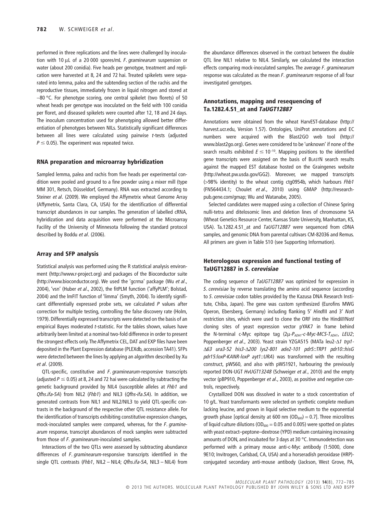performed in three replications and the lines were challenged by inoculation with 10 µL of a 20 000 spores/mL F. graminearum suspension or water (about 200 conidia). Five heads per genotype, treatment and replication were harvested at 8, 24 and 72 hai. Treated spikelets were separated into lemma, palea and the subtending section of the rachis and the reproductive tissues, immediately frozen in liquid nitrogen and stored at  $-80$  °C. For phenotype scoring, one central spikelet (two florets) of 50 wheat heads per genotype was inoculated on the field with 100 conidia per floret, and diseased spikelets were counted after 12, 18 and 24 days. The inoculum concentration used for phenotyping allowed better differentiation of phenotypes between NILs. Statistically significant differences between all lines were calculated using pairwise *t*-tests (adjusted  $P \leq$  0.05). The experiment was repeated twice.

#### **RNA preparation and microarray hybridization**

Sampled lemma, palea and rachis from five heads per experimental condition were pooled and ground to a fine powder using a mixer mill (type MM 301, Retsch, Düsseldorf, Germany). RNA was extracted according to Steiner *et al*. (2009). We employed the Affymetrix wheat Genome Array (Affymetrix, Santa Clara, CA, USA) for the identification of differential transcript abundances in our samples. The generation of labelled cRNA, hybridization and data acquisition were performed at the Microarray Facility of the University of Minnesota following the standard protocol described by Boddu *et al*. (2006).

#### **Array and SFP analysis**

Statistical analysis was performed using the R statistical analysis environment [\(http://www.r-project.org\)](http://www.r-project.org) and packages of the Bioconductor suite [\(http://www.bioconductor.org\)](http://www.bioconductor.org). We used the 'gcrma' package (Wu *et al*., 2004), 'vsn' (Huber *et al*., 2002), the fitPLM function ('affyPLM'; Bolstad, 2004) and the lmFIT function of 'limma' (Smyth, 2004). To identify significant differentially expressed probe sets, we calculated *P* values after correction for multiple testing, controlling the false discovery rate (Holm, 1979). Differentially expressed transcripts were detected on the basis of an empirical Bayes moderated *t*-statistic. For the tables shown, values have arbitrarily been limited at a nominal two-fold difference in order to present the strongest effects only. The Affymetrix CEL, DAT and EXP files have been deposited in the Plant Expression database (PLEXdb, accession TA41). SFPs were detected between the lines by applying an algorithm described by Xu *et al*. (2009).

QTL-specific, constitutive and *F. graminearum*-responsive transcripts (adjusted  $P \leq 0.05$ ) at 8, 24 and 72 hai were calculated by subtracting the genetic background provided by NIL4 (susceptible alleles at *Fhb1* and *Qfhs.ifa-5A*) from NIL2 (*Fhb1*) and NIL3 (*Qfhs-ifa.5A*). In addition, we generated contrasts from NIL1 and NIL2/NIL3 to yield QTL-specific contrasts in the background of the respective other QTL resistance allele. For the identification of transcripts exhibiting constitutive expression changes, mock-inoculated samples were compared, whereas, for the *F. graminearum* response, transcript abundances of mock samples were subtracted from those of *F. graminearum*-inoculated samples.

Interactions of the two QTLs were assessed by subtracting abundance differences of *F. graminearum*-responsive transcripts identified in the single QTL contrasts (*Fhb1*, NIL2 – NIL4; *Qfhs.ifa-5A*, NIL3 – NIL4) from

the abundance differences observed in the contrast between the double QTL line NIL1 relative to NIL4. Similarly, we calculated the interaction effects comparing mock-inoculated samples. The average *F. graminearum* response was calculated as the mean *F. graminearum* response of all four investigated genotypes.

# **Annotations, mapping and resequencing of Ta.1282.4.S1\_at and** *TaUGT12887*

Annotations were obtained from the wheat HarvEST-database [\(http://](http://harvest.ucr.edu) [harvest.ucr.edu,](http://harvest.ucr.edu) Version 1.57). Ontologies, UniProt annotations and EC numbers were acquired with the Blast2GO web tool [\(http://](http://www.blast2go.org) [www.blast2go.org\)](http://www.blast2go.org). Genes were considered to be 'unknown' if none of the search results exhibited  $E \leq 10^{-10}$ . Mapping positions to the identified gene transcripts were assigned on the basis of BLASTN search results against the mapped EST database hosted on the Graingenes website [\(http://wheat.pw.usda.gov/GG2\)](http://wheat.pw.usda.gov/GG2). Moreover, we mapped transcripts (>98% identity) to the wheat contig ctg0954b, which harbours *Fhb1* (FN564434.1; Choulet *et al*., 2010) using GMAP [\(http://research](http://research-pub.gene.com/gmap)[pub.gene.com/gmap;](http://research-pub.gene.com/gmap) Wu and Watanabe, 2005).

Selected candidates were mapped using a collection of Chinese Spring nulli-tetra and ditelosomic lines and deletion lines of chromosome 5A (Wheat Genetics Resource Center, Kansas State University, Manhattan, KS, USA). Ta.1282.4.S1\_at and *TaUGT12887* were sequenced from cDNA samples, and genomic DNA from parental cultivars CM-82036 and Remus. All primers are given in Table S10 (see Supporting Information).

# **Heterologous expression and functional testing of TaUGT12887 in** *S. cerevisiae*

The coding sequence of *TaUGT12887* was optimized for expression in *S. cerevisiae* by reverse translating the amino acid sequence (according to *S. cerevisiae* codon tables provided by the Kazusa DNA Research Institute, Chiba, Japan). The gene was custom synthesized (Eurofins MWG Operon, Ebersberg, Germany) including flanking 5′ *Hind*III and 3′ *Not*I restriction sites, which were used to clone the ORF into the Hind*III*/Not*I* cloning sites of yeast expression vector pYAK7 in frame behind the N-terminal c-Myc epitope tag (2µ-P<sub>ADH1</sub>-c-Myc-MCS-T<sub>ADH1</sub>, LEU2; Poppenberger et al., 2003). Yeast strain YZGA515 (MATa leu2-△1 trp1-D*63 ura3-52 his3*-D*200 lys2-801 ade2-101 pdr5::TRP1 pdr10::hisG pdr15:loxP-KANR-loxP ayt1::URA*) was transformed with the resulting construct, pWS60, and also with pWS1921, harbouring the previously reported DON-UGT *HvUGT13248* (Schweiger *et al*., 2010) and the empty vector (pBP910, Poppenberger *et al*., 2003), as positive and negative controls, respectively.

Crystallized DON was dissolved in water to a stock concentration of 10 g/L. Yeast transformants were selected on synthetic complete medium lacking leucine, and grown in liquid selective medium to the exponential growth phase [optical density at 600 nm  $(OD_{600}) = 0.7$ ]. Three microlitres of liquid culture dilutions ( $OD_{600} = 0.05$  and 0.005) were spotted on plates with yeast extract–peptone–dextrose (YPD) medium containing increasing amounts of DON, and incubated for 3 days at 30 °C. Immunodetection was performed with a primary mouse anti-c-Myc antibody (1:5000, clone 9E10; Invitrogen, Carlsbad, CA, USA) and a horseradish peroxidase (HRP) conjugated secondary anti-mouse antibody (Jackson, West Grove, PA,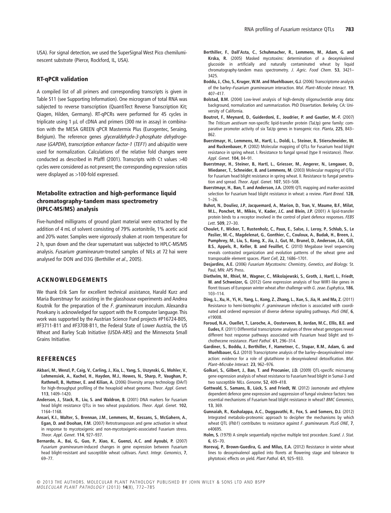USA). For signal detection, we used the SuperSignal West Pico chemiluminescent substrate (Pierce, Rockford, IL, USA).

# **RT-qPCR validation**

A compiled list of all primers and corresponding transcripts is given in Table S11 (see Supporting Information). One microgram of total RNA was subjected to reverse transcription (QuantiTect Reverse Transcription Kit; Qiagen, Hilden, Germany). RT-qPCRs were performed for 45 cycles in triplicate using 1  $\mu$ L of cDNA and primers (300 nm in assay) in combination with the MESA GREEN qPCR Mastermix Plus (Eurogentec, Seraing, Belgium). The reference genes *glyceraldehyde-3-phosphate dehydrogenase* (*GAPDH*), *transcription enhancer factor-1* (*TEF1*) and *ubiquitin* were used for normalization. Calculations of the relative fold changes were conducted as described in Pfaffl (2001). Transcripts with Ct values >40 cycles were considered as not present; the corresponding expression ratios were displayed as >100-fold expressed.

# **Metabolite extraction and high-performance liquid chromatography-tandem mass spectrometry (HPLC-MS/MS) analysis**

Five-hundred milligrams of ground plant material were extracted by the addition of 4 mL of solvent consisting of 79% acetonitrile, 1% acetic acid and 20% water. Samples were vigorously shaken at room temperature for 2 h, spun down and the clear supernatant was subjected to HPLC-MS/MS analysis. *Fusarium graminearum*-treated samples of NILs at 72 hai were analysed for DON and D3G (Berthiller *et al*., 2005).

## **ACKNOWLEDGEMENTS**

We thank Erik Sam for excellent technical assistance, Harald Kurz and Maria Buerstmayr for assisting in the glasshouse experiments and Andrea Koutnik for the preparation of the *F. graminearum* inoculum. Alexandra Posekany is acknowledged for support with the R computer language. This work was supported by the Austrian Science Fund projects #P16724-B05, #F3711-B11 and #F3708-B11, the Federal State of Lower Austria, the US Wheat and Barley Scab Initiative (USDA-ARS) and the Minnesota Small Grains Initiative.

#### **REFERENCES**

- **Akbari, M.**, **Wenzl, P.**, **Caig, V.**, **Carling, J.**, **Xia, L.**, **Yang, S.**, **Uszynski, G.**, **Mohler, V.**, **Lehmensiek, A.**, **Kuchel, H.**, **Hayden, M.J.**, **Howes, N.**, **Sharp, P.**, **Vaughan, P.**, **Rathmell, B.**, **Huttner, E. and Kilian, A.** (2006) Diversity arrays technology (DArT) for high-throughput profiling of the hexaploid wheat genome. *Theor. Appl. Genet.* **113**, 1409–1420.
- **Anderson, J.**, **Stack, R.**, **Liu, S. and Waldron, B.** (2001) DNA markers for Fusarium head blight resistance QTLs in two wheat populations. *Theor. Appl. Genet.* **102**, 1164–1168.
- **Ansari, K.I.**, **Walter, S.**, **Brennan, J.M.**, **Lemmens, M.**, **Kessans, S.**, **McGahern, A.**, **Egan, D. and Doohan, F.M.** (2007) Retrotransposon and gene activation in wheat in response to mycotoxigenic and non-mycotoxigenic-associated Fusarium stress. *Theor. Appl. Genet.* **114**, 927–937.
- **Bernardo, A.**, **Bai, G.**, **Guo, P.**, **Xiao, K.**, **Guenzi, A.C. and Ayoubi, P.** (2007) *Fusarium graminearum*-induced changes in gene expression between Fusarium head blight-resistant and susceptible wheat cultivars. *Funct. Integr. Genomics*, **7**, 69–77.
- **Berthiller, F.**, **Dall'Asta, C.**, **Schuhmacher, R.**, **Lemmens, M.**, **Adam, G. and Krska, R.** (2005) Masked mycotoxins: determination of a deoxynivalenol glucoside in artificially and naturally contaminated wheat by liquid chromatography-tandem mass spectrometry. *J. Agric. Food Chem.* **53**, 3421– 3425.
- **Boddu, J.**, **Cho, S.**, **Kruger, W.M. and Muehlbauer, G.J.** (2006) Transcriptome analysis of the barley–*Fusarium graminearum* interaction. *Mol. Plant–Microbe Interact.* **19**, 407–417.
- **Bolstad, B.M.** (2004) Low-level analysis of high-density oligonucleotide array data: background, normalization and summarization. PhD Dissertation. Berkeley, CA: University of California.
- **Boutrot, F.**, **Meynard, D.**, **Guiderdoni, E.**, **Joudrier, P. and Gautier, M.-F.** (2007) The *Triticum aestivum* non-specific lipid-transfer protein (TaLtp) gene family: comparative promoter activity of six TaLtp genes in transgenic rice. *Planta*, **225**, 843– 862.
- **Buerstmayr, H.**, **Lemmens, M.**, **Hartl, L.**, **Doldi, L.**, **Steiner, B.**, **Stierschneider, M. and Ruckenbauer, P.** (2002) Molecular mapping of QTLs for Fusarium head blight resistance in spring wheat. I. Resistance to fungal spread (type II resistance). *Theor. Appl. Genet.* **104**, 84–91.
- **Buerstmayr, H.**, **Steiner, B.**, **Hartl, L.**, **Griesser, M.**, **Angerer, N.**, **Lengauer, D.**, **Miedaner, T.**, **Schneider, B. and Lemmens, M.** (2003) Molecular mapping of QTLs for Fusarium head blight resistance in spring wheat. II. Resistance to fungal penetration and spread. *Theor. Appl. Genet.* **107**, 503–508.
- **Buerstmayr, H.**, **Ban, T. and Anderson, J.A.** (2009) QTL mapping and marker-assisted selection for Fusarium head blight resistance in wheat: a review. *Plant Breed.* **128**,  $1 - 26$
- **Buhot, N.**, **Douliez, J.P.**, **Jacquemard, A.**, **Marion, D.**, **Tran, V.**, **Maume, B.F.**, **Milat, M.L.**, **Ponchet, M.**, **Mikès, V.**, **Kader, J.C. and Blein, J.P.** (2001) A lipid-transfer protein binds to a receptor involved in the control of plant defence responses. *FEBS Lett.* **509**, 27–30.
- **Choulet, F.**, **Wicker, T.**, **Rustenholz, C.**, **Paux, E.**, **Salse, J.**, **Leroy, P.**, **Schlub, S.**, **Le Paslier, M.-C.**, **Magdelenat, G.**, **Gonthier, C.**, **Couloux, A.**, **Budak, H.**, **Breen, J.**, **Pumphrey, M.**, **Liu, S.**, **Kong, X.**, **Jia, J.**, **Gut, M.**, **Brunel, D.**, **Anderson, J.A.**, **Gill, B.S.**, **Appels, R.**, **Keller, B. and Feuillet, C.** (2010) Megabase level sequencing reveals contrasted organization and evolution patterns of the wheat gene and transposable element spaces. *Plant Cell*, **22**, 1686–1701.
- **Desjardins, A.E.** (2006) *Fusarium Mycotoxins: Chemistry, Genetics, and Biology*. St. Paul, MN: APS Press.
- **Diethelm, M.**, **Rhiel, M.**, **Wagner, C.**, **Mikolajewski, S.**, **Groth, J.**, **Hartl, L.**, **Friedt, W. and Schweizer, G.** (2012) Gene expression analysis of four WIR1-like genes in floret tissues of European winter wheat after challenge with *G. zeae*. *Euphytica*, **186**, 103–114.
- **Ding, L.**, **Xu, H.**, **Yi, H.**, **Yang, L.**, **Kong, Z.**, **Zhang, L.**, **Xue, S.**,**Jia, H. and Ma, Z.** (2011) Resistance to hemi-biotrophic *F. graminearum* infection is associated with coordinated and ordered expression of diverse defense signaling pathways. *PloS ONE*, **6**, e19008.
- **Foroud, N.A.**, **Ouellet, T.**, **Laroche, A.**, **Oosterveen, B.**, **Jordan, M.C.**, **Ellis, B.E. and Eudes, F.** (2011) Differential transcriptome analyses of three wheat genotypes reveal different host response pathways associated with Fusarium head blight and trichothecene resistance. *Plant Pathol.* **61**, 296–314.
- **Gardiner, S.**, **Boddu, J.**, **Berthiller, F.**, **Hametner, C.**, **Stupar, R.M.**, **Adam, G. and Muehlbauer, G.J.** (2010) Transcriptome analysis of the barley–deoxynivalenol interaction: evidence for a role of glutathione in deoxynivalenol detoxification. *Mol. Plant–Microbe Interact.* **23**, 962–976.
- **Golkari, S.**, **Gilbert, J.**, **Ban, T. and Procunier, J.D.** (2009) QTL-specific microarray gene expression analysis of wheat resistance to Fusarium head blight in Sumai-3 and two susceptible NILs. *Genome*, **52**, 409–418.
- **Gottwald, S.**, **Samans, B.**, **Lück, S. and Friedt, W.** (2012) Jasmonate and ethylene dependent defence gene expression and suppression of fungal virulence factors: two essential mechanisms of Fusarium head blight resistance in wheat? *BMC Genomics,* **13**, 369.
- **Gunnaiah, R.**, **Kushalappa, A.C.**, **Duggavathi, R.**, **Fox, S. and Somers, D.J.** (2012) Integrated metabolo-proteomic approach to decipher the mechanisms by which wheat QTL (*Fhb1*) contributes to resistance against *F. graminearum*. *PLoS ONE*, **7**, e40695.
- **Holm, S.** (1979) A simple sequentially rejective multiple test procedure. *Scand. J. Stat.* **6**, 65–70.
- **Horevaj, P.**, **Brown-Guedira, G. and Milus, E.A.** (2012) Resistance in winter wheat lines to deoxynivalenol applied into florets at flowering stage and tolerance to phytotoxic effects on yield. *Plant Pathol.* **61**, 925–933.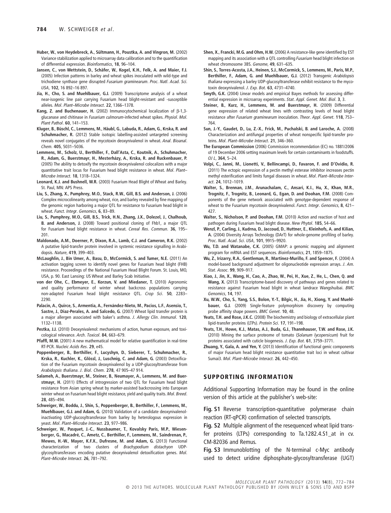- **Huber, W.**, **von Heydebreck, A.**, **Sültmann, H.**, **Poustka, A. and Vingron, M.** (2002) Variance stabilization applied to microarray data calibration and to the quantification of differential expression. *Bioinformatics*, **18**, 96–104.
- **Jansen, C.**, **von Wettstein, D.**, **Schäfer, W.**, **Kogel, K.H.**, **Felk, A. and Maier, F.J.** (2005) Infection patterns in barley and wheat spikes inoculated with wild-type and trichodiene synthase gene disrupted *Fusarium graminearum*. *Proc. Natl. Acad. Sci. USA,* **102**, 16 892–16 897.
- **Jia, H.**, **Cho, S. and Muehlbauer, G.J.** (2009) Transcriptome analysis of a wheat near-isogenic line pair carrying Fusarium head blight-resistant and -susceptible alleles. *Mol. Plant–Microbe Interact.* **22**, 1366–1378.
- Kang, Z. and Buchenauer, H. (2002) Immunocytochemical localization of  $\beta$ -1,3glucanase and chitinase in *Fusarium culmorum*-infected wheat spikes. *Physiol. Mol. Plant Pathol.* **60**, 141–153.
- **Kluger, B.**, **Büschl, C.**, **Lemmens, M.**, **Häubl, G.**, **Labuda, R.**, **Adam, G.**, **Krska, R. and Schuhmacher, R.** (2012) Stable isotopic labelling-assisted untargeted screening reveals novel conjugates of the mycotoxin deoxynivalenol in wheat. *Anal. Bioanal. Chem.* **405**, 5031–5036.
- **Lemmens, M.**, **Scholz, U.**, **Berthiller, F.**, **Dall'Asta, C.**, **Koutnik, A.**, **Schuhmacher, R.**, **Adam, G.**, **Buerstmayr, H.**, **Mesterházy, A.**, **Krska, R. and Ruckenbauer, P.** (2005) The ability to detoxify the mycotoxin deoxynivalenol colocalizes with a major quantitative trait locus for Fusarium head blight resistance in wheat. *Mol. Plant– Microbe Interact.* **18**, 1318–1324.
- **Leonard, K.J. and Bushnell, W.R.** (2003) Fusarium Head Blight of Wheat and Barley. St. Paul, MN: APS Press.
- **Liu, S.**, **Zhang, X.**, **Pumphrey, M.O.**, **Stack, R.W.**, **Gill, B.S. and Anderson, J.** (2006) Complex microcolinearity among wheat, rice, and barley revealed by fine mapping of the genomic region harboring a major QTL for resistance to Fusarium head blight in wheat. *Funct. Integr. Genomics*, **6**, 83–89.
- **Liu, S.**, **Pumphrey, M.O.**, **Gill, B.S.**, **Trick, H.N.**, **Zhang, J.X.**, **Dolezel, J.**, **Chalhoub, B. and Anderson, J.** (2008) Toward positional cloning of Fhb1, a major QTL for Fusarium head blight resistance in wheat. *Cereal Res. Commun.* **36**, 195– 201.
- **Maldonado, A.M.**, **Doerner, P.**, **Dixon, R.A.**, **Lamb, C.J. and Cameron, R.K.** (2002) A putative lipid-transfer protein involved in systemic resistance signalling in Arabidopsis. *Nature*, **419**, 399–403.
- **McLaughlin, J.**, **Bin Umer, A.**, **Basu, D.**, **McCormick, S. and Tumer, N.E.** (2011) An activation tagging screen to identify novel genes for Fusarium head blight (FHB) resistance. Proceedings of the National Fusarium Head Blight Forum. St. Louis, MO, USA, p. 90. East Lansing: US Wheat and Barley Scab Initiative.
- **von der Ohe, C.**, **Ebmeyer, E.**, **Korzun, V. and Miedaner, T.** (2010) Agronomic and quality performance of winter wheat backcross populations carrying non-adapted Fusarium head blight resistance QTL. *Crop Sci.* **50**, 2283– 2290.
- **Palacin, A.**, **Quirce, S.**, **Armentia, A.**, **Fernández-Nieto, M.**, **Pacios, L.F.**, **Asensio, T.**, **Sastre, J.**, **Diaz-Perales, A. and Salcedo, G.** (2007) Wheat lipid transfer protein is a major allergen associated with baker's asthma. *J. Allergy Clin. Immunol.* **120**, 1132–1138.
- **Pestka, J.J.** (2010) Deoxynivalenol: mechanisms of action, human exposure, and toxicological relevance. *Arch. Toxicol.* **84**, 663–679.
- Pfaffl, M.W. (2001) A new mathematical model for relative quantification in real-time RT-PCR. *Nucleic Acids Res.* **29**, e45.
- **Poppenberger, B.**, **Berthiller, F.**, **Lucyshyn, D.**, **Sieberer, T.**, **Schuhmacher, R.**, **Krska, R.**, **Kuchler, K.**, **Glössl, J.**, **Luschnig, C. and Adam, G.** (2003) Detoxification of the Fusarium mycotoxin deoxynivalenol by a UDP-glucosyltransferase from *Arabidopsis thaliana*. *J. Biol. Chem.* **278**, 47 905–47 914.
- **Salameh, A.**, **Buerstmayr, M.**, **Steiner, B.**, **Neumayer, A.**, **Lemmens, M. and Buerstmayr, H.** (2011) Effects of introgression of two QTL for Fusarium head blight resistance from Asian spring wheat by marker-assisted backcrossing into European winter wheat on Fusarium head blight resistance, yield and quality traits. *Mol. Breed.* **28**, 485–494.
- **Schweiger, W.**, **Boddu, J.**, **Shin, S.**, **Poppenberger, B.**, **Berthiller, F.**, **Lemmens, M.**, **Muehlbauer, G.J. and Adam, G.** (2010) Validation of a candidate deoxynivalenolinactivating UDP-glucosyltransferase from barley by heterologous expression in yeast. *Mol. Plant–Microbe Interact.* **23**, 977–986.
- **Schweiger, W.**, **Pasquet, J.-C.**, **Nussbaumer, T.**, **Kovalsky Paris, M.P.**, **Wiesenberger, G.**, **Macadré, C.**, **Ametz, C.**, **Berthiller, F.**, **Lemmens, M.**, **Saindrenan, P.**, **Mewes, H.-W.**, **Mayer, K.F.X.**, **Dufresne, M. and Adam, G.** (2013) Functional characterization of two clusters of *Brachypodium distachyon* UDPglycosyltransferases encoding putative deoxynivalenol detoxification genes. *Mol. Plant–Microbe Interact.* **26**, 781–792.
- **Shen, X.**, **Francki, M.G. and Ohm, H.W.** (2006) A resistance-like gene identified by EST mapping and its association with a QTL controlling *Fusarium* head blight infection on wheat chromosome 3BS. *Genome*, **49**, 631–635.
- **Shin, S.**, **Torres-Acosta, J.A.**, **Heinen, S.J.**, **McCormick, S.**, **Lemmens, M.**, **Paris, M.P.**, **Berthiller, F.**, **Adam, G. and Muehlbauer, G.J.** (2012) Transgenic *Arabidopsis thaliana* expressing a barley UDP-glucosyltransferase exhibit resistance to the mycotoxin deoxynivalenol. *J. Exp. Bot.* **63**, 4731–4740.
- **Smyth, G.K.** (2004) Linear models and empirical Bayes methods for assessing differential expression in microarray experiments. *Stat. Appl. Genet. Mol. Biol.* **3**, 3.
- **Steiner, B.**, **Kurz, H.**, **Lemmens, M. and Buerstmayr, H.** (2009) Differential gene expression of related wheat lines with contrasting levels of head blight resistance after *Fusarium graminearum* inoculation. *Theor. Appl. Genet.* **118**, 753– 764.
- **Sun, J.-Y.**, **Gaudet, D.**, **Lu, Z.-X.**, **Frick, M.**, **Puchalski, B. and Laroche, A.** (2008) Characterization and antifungal properties of wheat nonspecific lipid-transfer proteins. *Mol. Plant–Microbe Interact.* **21**, 346–360.
- **The European Commission** (2006) Commission recommendation (EC) no. 1881/2006 of 19 December 2006 setting maximum levels for certain contaminants in foodstuffs. *OJ L*, **364**, 5–24.
- **Volpi, C.**, **Janni, M.**, **Lionetti, V.**, **Bellincampi, D.**, **Favaron, F. and D'Ovidio, R.** (2011) The ectopic expression of a pectin methyl esterase inhibitor increases pectin methyl esterification and limits fungal diseases in wheat. *Mol. Plant–Microbe Interact.* **24**, 1012–1019.
- **Walter, S.**, **Brennan, J.M.**, **Arunachalam, C.**, **Ansari, K.I.**, **Hu, X.**, **Khan, M.R.**, **Trognitz, F.**, **Trognitz, B.**, **Leonard, G.**, **Egan, D. and Doohan, F.M.** (2008) Components of the gene network associated with genotype-dependent response of wheat to the Fusarium mycotoxin deoxynivalenol. *Funct. Integr. Genomics*, **8**, 421– 427.
- **Walter, S.**, **Nicholson, P. and Doohan, F.M.** (2010) Action and reaction of host and pathogen during Fusarium head blight disease. *New Phytol.* **185**, 54–66.
- **Wenzl, P.**, **Carling, J.**, **Kudrna, D.**, **Jaccoud, D.**, **Huttner, E.**, **Kleinhofs, A. and Kilian, A.** (2004) Diversity Arrays Technology (DArT) for whole-genome profiling of barley. *Proc. Natl. Acad. Sci. USA,* **101**, 9915–9920.
- **Wu, T.D. and Watanabe, C.K.** (2005) GMAP: a genomic mapping and alignment program for mRNA and EST sequences. *Bioinformatics*, **21**, 1859–1875.
- **Wu, Z.**, **Irizarry, R.A.**, **Gentleman, R.**, **Martinez-Murillo, F. and Spencer, F.** (2004) A model-based background adjustment for oligonucleotide expression arrays. *J. Am. Stat. Assoc.* **99**, 909–917.
- **Xiao, J.**, **Jin, X.**, **Wang, H.**, **Cao, A.**, **Zhao, W.**, **Pei, H.**, **Xue, Z.**, **He, L.**, **Chen, Q. and Wang, X.** (2013) Transcriptome-based discovery of pathways and genes related to resistance against Fusarium head blight in wheat landrace Wangshuibai. *BMC Genomics*, **14**, 197.
- **Xu, W.W.**, **Cho, S.**, **Yang, S.S.**, **Bolon, Y.-T.**, **Bilgic, H.**, **Jia, H.**, **Xiong, Y. and Muehlbauer, G.J.** (2009) Single-feature polymorphism discovery by computing probe affinity shape powers. *BMC Genet.* **10**, 48.
- **Yeats, T.H. and Rose, J.K.C.** (2008) The biochemistry and biology of extracellular plant lipid-transfer proteins (LTPs). *Protein Sci.* **17**, 191–198.
- **Yeats, T.H.**, **Howe, K.J.**, **Matas, A.J.**, **Buda, G.J.**, **Thannhauser, T.W. and Rose, J.K.** (2010) Mining the surface proteome of tomato (*Solanum lycopersicum*) fruit for proteins associated with cuticle biogenesis. *J. Exp. Bot.* **61**, 3759–3771.
- **Zhuang, Y.**, **Gala, A. and Yen, Y.** (2013) Identification of functional genic components of major Fusarium head blight resistance quantitative trait loci in wheat cultivar Sumai3. *Mol. Plant–Microbe Interact.* **26**, 442–450.

#### **SUPPORTING INFORMATION**

Additional Supporting Information may be found in the online version of this article at the publisher's web-site:

**Fig. S1** Reverse transcription-quantitative polymerase chain reaction (RT-qPCR) confirmation of selected transcripts.

**Fig. S2** Multiple alignment of the resequenced wheat lipid transfer proteins (LTPs) corresponding to Ta.1282.4.S1\_at in cv. CM-82036 and Remus.

**Fig. S3** Immunoblotting of the N-terminal c-Myc antibody used to detect uridine diphosphate-glycosyltransferase (UGT)